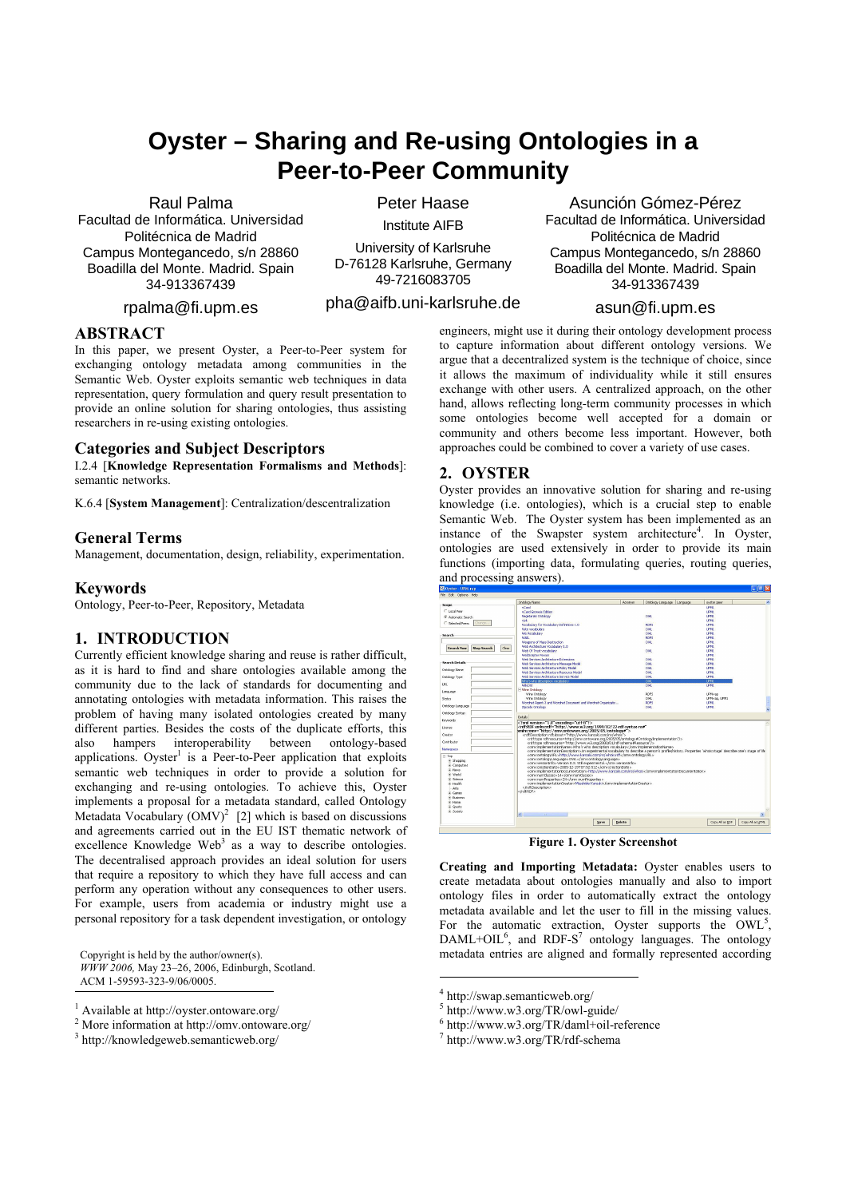# **Oyster – Sharing and Re-using Ontologies in a Peer-to-Peer Community**

#### Raul Palma

Facultad de Informática. Universidad Politécnica de Madrid Campus Montegancedo, s/n 28860 Boadilla del Monte. Madrid. Spain 34-913367439

rpalma@fi.upm.es

Peter Haase Institute AIFB

University of Karlsruhe D-76128 Karlsruhe, Germany 49-7216083705

pha@aifb.uni-karlsruhe.de

# **ABSTRACT**

In this paper, we present Oyster, a Peer-to-Peer system for exchanging ontology metadata among communities in the Semantic Web. Oyster exploits semantic web techniques in data representation, query formulation and query result presentation to provide an online solution for sharing ontologies, thus assisting researchers in re-using existing ontologies.

#### **Categories and Subject Descriptors**

I.2.4 [**Knowledge Representation Formalisms and Methods**]: semantic networks.

K.6.4 [**System Management**]: Centralization/descentralization

# **General Terms**

Management, documentation, design, reliability, experimentation.

# **Keywords**

Ontology, Peer-to-Peer, Repository, Metadata

#### **1. INTRODUCTION**

Currently efficient knowledge sharing and reuse is rather difficult, as it is hard to find and share ontologies available among the community due to the lack of standards for documenting and annotating ontologies with metadata information. This raises the problem of having many isolated ontologies created by many different parties. Besides the costs of the duplicate efforts, this also hampers interoperability between ontology-based applications. Oyster<sup>1</sup> is a Peer-to-Peer application that exploits semantic web techniques in order to provide a solution for exchanging and re-using ontologies. To achieve this, Oyster implements a proposal for a metadata standard, called Ontology Metadata Vocabulary  $(OMV)^2$  [2] which is based on discussions and agreements carried out in the EU IST thematic network of excellence Knowledge Web<sup>3</sup> as a way to describe ontologies. The decentralised approach provides an ideal solution for users that require a repository to which they have full access and can perform any operation without any consequences to other users. For example, users from academia or industry might use a personal repository for a task dependent investigation, or ontology

Copyright is held by the author/owner(s). *WWW 2006,* May 23–26, 2006, Edinburgh, Scotland. ACM 1-59593-323-9/06/0005.

j

<sup>2</sup> More information at http://omv.ontoware.org/<br><sup>3</sup> http://trovyledgeweb.computionshipsion/

Asunción Gómez-Pérez Facultad de Informática. Universidad Politécnica de Madrid Campus Montegancedo, s/n 28860 Boadilla del Monte. Madrid. Spain 34-913367439

#### asun@fi.upm.es

engineers, might use it during their ontology development process to capture information about different ontology versions. We argue that a decentralized system is the technique of choice, since it allows the maximum of individuality while it still ensures exchange with other users. A centralized approach, on the other hand, allows reflecting long-term community processes in which some ontologies become well accepted for a domain or community and others become less important. However, both approaches could be combined to cover a variety of use cases.

# **2. OYSTER**

Oyster provides an innovative solution for sharing and re-using knowledge (i.e. ontologies), which is a crucial step to enable Semantic Web. The Oyster system has been implemented as an instance of the Swapster system architecture<sup>4</sup>. In Oyster, ontologies are used extensively in order to provide its main functions (importing data, formulating queries, routing queries, and processing answers).



**Figure 1. Oyster Screenshot** 

**Creating and Importing Metadata:** Oyster enables users to create metadata about ontologies manually and also to import ontology files in order to automatically extract the ontology metadata available and let the user to fill in the missing values. For the automatic extraction, Oyster supports the  $\text{OWL}^5$ ,  $DAML+OIL<sup>6</sup>$ , and RDF-S<sup>7</sup> ontology languages. The ontology metadata entries are aligned and formally represented according

 $\overline{a}$ 

<sup>&</sup>lt;sup>1</sup> Available at http://oyster.ontoware.org/

http://knowledgeweb.semanticweb.org/

<sup>4</sup> http://swap.semanticweb.org/

<sup>5</sup> http://www.w3.org/TR/owl-guide/

<sup>6</sup> http://www.w3.org/TR/daml+oil-reference

<sup>7</sup> http://www.w3.org/TR/rdf-schema